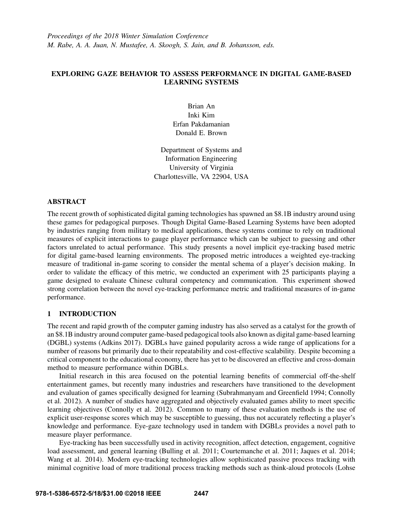# EXPLORING GAZE BEHAVIOR TO ASSESS PERFORMANCE IN DIGITAL GAME-BASED LEARNING SYSTEMS

Brian An Inki Kim Erfan Pakdamanian Donald E. Brown

Department of Systems and Information Engineering University of Virginia Charlottesville, VA 22904, USA

#### ABSTRACT

The recent growth of sophisticated digital gaming technologies has spawned an \$8.1B industry around using these games for pedagogical purposes. Though Digital Game-Based Learning Systems have been adopted by industries ranging from military to medical applications, these systems continue to rely on traditional measures of explicit interactions to gauge player performance which can be subject to guessing and other factors unrelated to actual performance. This study presents a novel implicit eye-tracking based metric for digital game-based learning environments. The proposed metric introduces a weighted eye-tracking measure of traditional in-game scoring to consider the mental schema of a player's decision making. In order to validate the efficacy of this metric, we conducted an experiment with 25 participants playing a game designed to evaluate Chinese cultural competency and communication. This experiment showed strong correlation between the novel eye-tracking performance metric and traditional measures of in-game performance.

#### 1 INTRODUCTION

The recent and rapid growth of the computer gaming industry has also served as a catalyst for the growth of an \$8.1B industry around computer game-based pedagogical tools also known as digital game-based learning (DGBL) systems (Adkins 2017). DGBLs have gained popularity across a wide range of applications for a number of reasons but primarily due to their repeatability and cost-effective scalability. Despite becoming a critical component to the educational economy, there has yet to be discovered an effective and cross-domain method to measure performance within DGBLs.

Initial research in this area focused on the potential learning benefits of commercial off-the-shelf entertainment games, but recently many industries and researchers have transitioned to the development and evaluation of games specifically designed for learning (Subrahmanyam and Greenfield 1994; Connolly et al. 2012). A number of studies have aggregated and objectively evaluated games ability to meet specific learning objectives (Connolly et al. 2012). Common to many of these evaluation methods is the use of explicit user-response scores which may be susceptible to guessing, thus not accurately reflecting a player's knowledge and performance. Eye-gaze technology used in tandem with DGBLs provides a novel path to measure player performance.

Eye-tracking has been successfully used in activity recognition, affect detection, engagement, cognitive load assessment, and general learning (Bulling et al. 2011; Courtemanche et al. 2011; Jaques et al. 2014; Wang et al. 2014). Modern eye-tracking technologies allow sophisticated passive process tracking with minimal cognitive load of more traditional process tracking methods such as think-aloud protocols (Lohse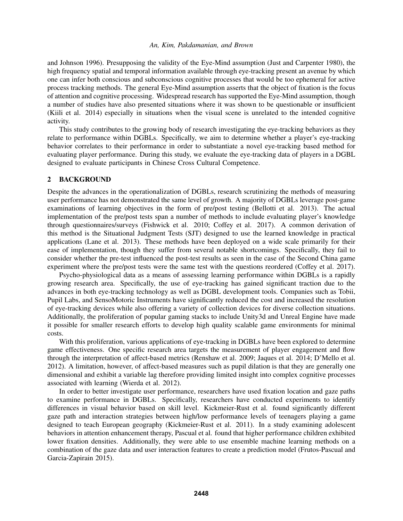and Johnson 1996). Presupposing the validity of the Eye-Mind assumption (Just and Carpenter 1980), the high frequency spatial and temporal information available through eye-tracking present an avenue by which one can infer both conscious and subconscious cognitive processes that would be too ephemeral for active process tracking methods. The general Eye-Mind assumption asserts that the object of fixation is the focus of attention and cognitive processing. Widespread research has supported the Eye-Mind assumption, though a number of studies have also presented situations where it was shown to be questionable or insufficient (Kiili et al. 2014) especially in situations when the visual scene is unrelated to the intended cognitive activity.

This study contributes to the growing body of research investigating the eye-tracking behaviors as they relate to performance within DGBLs. Specifically, we aim to determine whether a player's eye-tracking behavior correlates to their performance in order to substantiate a novel eye-tracking based method for evaluating player performance. During this study, we evaluate the eye-tracking data of players in a DGBL designed to evaluate participants in Chinese Cross Cultural Competence.

#### 2 BACKGROUND

Despite the advances in the operationalization of DGBLs, research scrutinizing the methods of measuring user performance has not demonstrated the same level of growth. A majority of DGBLs leverage post-game examinations of learning objectives in the form of pre/post testing (Bellotti et al. 2013). The actual implementation of the pre/post tests span a number of methods to include evaluating player's knowledge through questionnaires/surveys (Fishwick et al. 2010; Coffey et al. 2017). A common derivation of this method is the Situational Judgment Tests (SJT) designed to use the learned knowledge in practical applications (Lane et al. 2013). These methods have been deployed on a wide scale primarily for their ease of implementation, though they suffer from several notable shortcomings. Specifically, they fail to consider whether the pre-test influenced the post-test results as seen in the case of the Second China game experiment where the pre/post tests were the same test with the questions reordered (Coffey et al. 2017).

Psycho-physiological data as a means of assessing learning performance within DGBLs is a rapidly growing research area. Specifically, the use of eye-tracking has gained significant traction due to the advances in both eye-tracking technology as well as DGBL development tools. Companies such as Tobii, Pupil Labs, and SensoMotoric Instruments have significantly reduced the cost and increased the resolution of eye-tracking devices while also offering a variety of collection devices for diverse collection situations. Additionally, the proliferation of popular gaming stacks to include Unity3d and Unreal Engine have made it possible for smaller research efforts to develop high quality scalable game environments for minimal costs.

With this proliferation, various applications of eye-tracking in DGBLs have been explored to determine game effectiveness. One specific research area targets the measurement of player engagement and flow through the interpretation of affect-based metrics (Renshaw et al. 2009; Jaques et al. 2014; D'Mello et al. 2012). A limitation, however, of affect-based measures such as pupil dilation is that they are generally one dimensional and exhibit a variable lag therefore providing limited insight into complex cognitive processes associated with learning (Wierda et al. 2012).

In order to better investigate user performance, researchers have used fixation location and gaze paths to examine performance in DGBLs. Specifically, researchers have conducted experiments to identify differences in visual behavior based on skill level. Kickmeier-Rust et al. found significantly different gaze path and interaction strategies between high/low performance levels of teenagers playing a game designed to teach European geography (Kickmeier-Rust et al. 2011). In a study examining adolescent behaviors in attention enhancement therapy, Pascual et al. found that higher performance children exhibited lower fixation densities. Additionally, they were able to use ensemble machine learning methods on a combination of the gaze data and user interaction features to create a prediction model (Frutos-Pascual and Garcia-Zapirain 2015).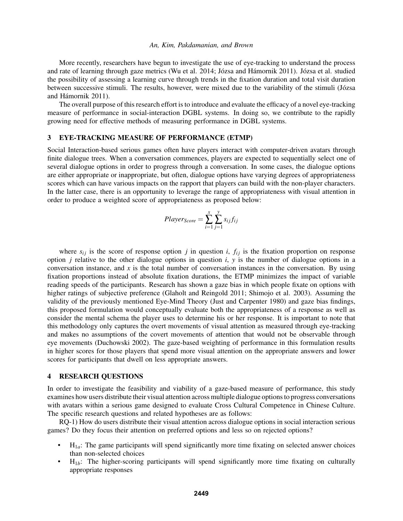More recently, researchers have begun to investigate the use of eye-tracking to understand the process and rate of learning through gaze metrics (Wu et al. 2014; Józsa and Hámornik 2011). Józsa et al. studied the possibility of assessing a learning curve through trends in the fixation duration and total visit duration between successive stimuli. The results, however, were mixed due to the variability of the stimuli (Józsa and Hámornik 2011).

The overall purpose of this research effort is to introduce and evaluate the efficacy of a novel eye-tracking measure of performance in social-interaction DGBL systems. In doing so, we contribute to the rapidly growing need for effective methods of measuring performance in DGBL systems.

#### 3 EYE-TRACKING MEASURE OF PERFORMANCE (ETMP)

Social Interaction-based serious games often have players interact with computer-driven avatars through finite dialogue trees. When a conversation commences, players are expected to sequentially select one of several dialogue options in order to progress through a conversation. In some cases, the dialogue options are either appropriate or inappropriate, but often, dialogue options have varying degrees of appropriateness scores which can have various impacts on the rapport that players can build with the non-player characters. In the latter case, there is an opportunity to leverage the range of appropriateness with visual attention in order to produce a weighted score of appropriateness as proposed below:

$$
Player_{Score} = \sum_{i=1}^{x} \sum_{j=1}^{y} s_{ij} f_{ij}
$$

where  $s_{ij}$  is the score of response option *j* in question *i*,  $f_{ij}$  is the fixation proportion on response option *j* relative to the other dialogue options in question *i*, *y* is the number of dialogue options in a conversation instance, and  $x$  is the total number of conversation instances in the conversation. By using fixation proportions instead of absolute fixation durations, the ETMP minimizes the impact of variable reading speeds of the participants. Research has shown a gaze bias in which people fixate on options with higher ratings of subjective preference (Glaholt and Reingold 2011; Shimojo et al. 2003). Assuming the validity of the previously mentioned Eye-Mind Theory (Just and Carpenter 1980) and gaze bias findings, this proposed formulation would conceptually evaluate both the appropriateness of a response as well as consider the mental schema the player uses to determine his or her response. It is important to note that this methodology only captures the overt movements of visual attention as measured through eye-tracking and makes no assumptions of the covert movements of attention that would not be observable through eye movements (Duchowski 2002). The gaze-based weighting of performance in this formulation results in higher scores for those players that spend more visual attention on the appropriate answers and lower scores for participants that dwell on less appropriate answers.

#### 4 RESEARCH QUESTIONS

In order to investigate the feasibility and viability of a gaze-based measure of performance, this study examines how users distribute their visual attention across multiple dialogue options to progress conversations with avatars within a serious game designed to evaluate Cross Cultural Competence in Chinese Culture. The specific research questions and related hypotheses are as follows:

RQ-1) How do users distribute their visual attention across dialogue options in social interaction serious games? Do they focus their attention on preferred options and less so on rejected options?

- $H_{1a}$ : The game participants will spend significantly more time fixating on selected answer choices than non-selected choices
- H1*b*: The higher-scoring participants will spend significantly more time fixating on culturally appropriate responses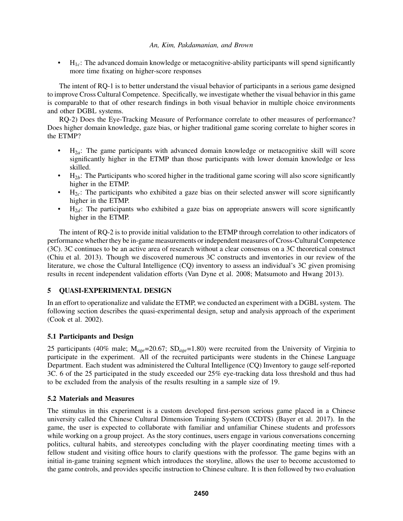• H1*c*: The advanced domain knowledge or metacognitive-ability participants will spend significantly more time fixating on higher-score responses

The intent of RQ-1 is to better understand the visual behavior of participants in a serious game designed to improve Cross Cultural Competence. Specifically, we investigate whether the visual behavior in this game is comparable to that of other research findings in both visual behavior in multiple choice environments and other DGBL systems.

RQ-2) Does the Eye-Tracking Measure of Performance correlate to other measures of performance? Does higher domain knowledge, gaze bias, or higher traditional game scoring correlate to higher scores in the ETMP?

- H2*a*: The game participants with advanced domain knowledge or metacognitive skill will score significantly higher in the ETMP than those participants with lower domain knowledge or less skilled.
- $\bullet$  H<sub>2*b*</sub>: The Participants who scored higher in the traditional game scoring will also score significantly higher in the ETMP.
- H2*c*: The participants who exhibited a gaze bias on their selected answer will score significantly higher in the ETMP.
- H2*d*: The participants who exhibited a gaze bias on appropriate answers will score significantly higher in the ETMP.

The intent of RQ-2 is to provide initial validation to the ETMP through correlation to other indicators of performance whether they be in-game measurements or independent measures of Cross-Cultural Competence (3C). 3C continues to be an active area of research without a clear consensus on a 3C theoretical construct (Chiu et al. 2013). Though we discovered numerous 3C constructs and inventories in our review of the literature, we chose the Cultural Intelligence (CQ) inventory to assess an individual's 3C given promising results in recent independent validation efforts (Van Dyne et al. 2008; Matsumoto and Hwang 2013).

# 5 QUASI-EXPERIMENTAL DESIGN

In an effort to operationalize and validate the ETMP, we conducted an experiment with a DGBL system. The following section describes the quasi-experimental design, setup and analysis approach of the experiment (Cook et al. 2002).

# 5.1 Participants and Design

25 participants (40% male; M*age*=20.67; SD*age*=1.80) were recruited from the University of Virginia to participate in the experiment. All of the recruited participants were students in the Chinese Language Department. Each student was administered the Cultural Intelligence (CQ) Inventory to gauge self-reported 3C. 6 of the 25 participated in the study exceeded our 25% eye-tracking data loss threshold and thus had to be excluded from the analysis of the results resulting in a sample size of 19.

# 5.2 Materials and Measures

The stimulus in this experiment is a custom developed first-person serious game placed in a Chinese university called the Chinese Cultural Dimension Training System (CCDTS) (Bayer et al. 2017). In the game, the user is expected to collaborate with familiar and unfamiliar Chinese students and professors while working on a group project. As the story continues, users engage in various conversations concerning politics, cultural habits, and stereotypes concluding with the player coordinating meeting times with a fellow student and visiting office hours to clarify questions with the professor. The game begins with an initial in-game training segment which introduces the storyline, allows the user to become accustomed to the game controls, and provides specific instruction to Chinese culture. It is then followed by two evaluation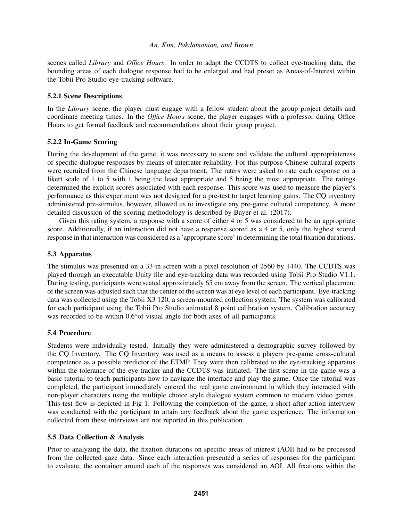scenes called *Library* and *Office Hours*. In order to adapt the CCDTS to collect eye-tracking data, the bounding areas of each dialogue response had to be enlarged and had preset as Areas-of-Interest within the Tobii Pro Studio eye-tracking software.

#### 5.2.1 Scene Descriptions

In the *Library* scene, the player must engage with a fellow student about the group project details and coordinate meeting times. In the *Office Hours* scene, the player engages with a professor during Office Hours to get formal feedback and recommendations about their group project.

#### 5.2.2 In-Game Scoring

During the development of the game, it was necessary to score and validate the cultural appropriateness of specific dialogue responses by means of interrater reliability. For this purpose Chinese cultural experts were recruited from the Chinese language department. The raters were asked to rate each response on a likert scale of 1 to 5 with 1 being the least appropriate and 5 being the most appropriate. The ratings determined the explicit scores associated with each response. This score was used to measure the player's performance as this experiment was not designed for a pre-test to target learning gains. The CQ inventory administered pre-stimulus, however, allowed us to investigate any pre-game cultural competency. A more detailed discussion of the scoring methodology is described by Bayer et al. (2017).

Given this rating system, a response with a score of either 4 or 5 was considered to be an appropriate score. Additionally, if an interaction did not have a response scored as a 4 or 5, only the highest scored response in that interaction was considered as a 'appropriate score' in determining the total fixation durations.

#### 5.3 Apparatus

The stimulus was presented on a 33-in screen with a pixel resolution of 2560 by 1440. The CCDTS was played through an executable Unity file and eye-tracking data was recorded using Tobii Pro Studio V1.1. During testing, participants were seated approximately 65 cm away from the screen. The vertical placement of the screen was adjusted such that the center of the screen was at eye level of each participant. Eye-tracking data was collected using the Tobii X3 120, a screen-mounted collection system. The system was calibrated for each participant using the Tobii Pro Studio animated 8 point calibration system. Calibration accuracy was recorded to be within 0.6° of visual angle for both axes of all participants.

# 5.4 Procedure

Students were individually tested. Initially they were administered a demographic survey followed by the CQ Inventory. The CQ Inventory was used as a means to assess a players pre-game cross-cultural competence as a possible predictor of the ETMP. They were then calibrated to the eye-tracking apparatus within the tolerance of the eye-tracker and the CCDTS was initiated. The first scene in the game was a basic tutorial to teach participants how to navigate the interface and play the game. Once the tutorial was completed, the participant immediately entered the real game environment in which they interacted with non-player characters using the multiple choice style dialogue system common to modern video games. This test flow is depicted in Fig 1. Following the completion of the game, a short after-action interview was conducted with the participant to attain any feedback about the game experience. The information collected from these interviews are not reported in this publication.

#### 5.5 Data Collection & Analysis

Prior to analyzing the data, the fixation durations on specific areas of interest (AOI) had to be processed from the collected gaze data. Since each interaction presented a series of responses for the participant to evaluate, the container around each of the responses was considered an AOI. All fixations within the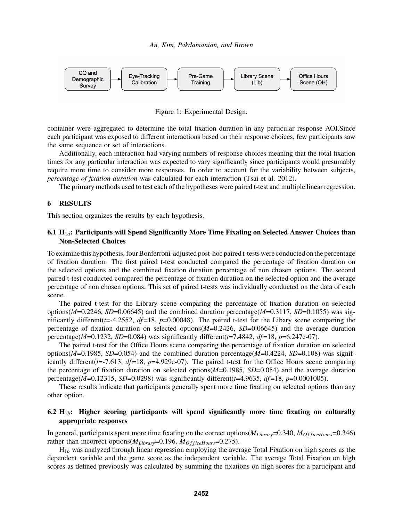

Figure 1: Experimental Design.

container were aggregated to determine the total fixation duration in any particular response AOI.Since each participant was exposed to different interactions based on their response choices, few participants saw the same sequence or set of interactions.

Additionally, each interaction had varying numbers of response choices meaning that the total fixation times for any particular interaction was expected to vary significantly since participants would presumably require more time to consider more responses. In order to account for the variability between subjects, *percentage of fixation duration* was calculated for each interaction (Tsai et al. 2012).

The primary methods used to test each of the hypotheses were paired t-test and multiple linear regression.

#### 6 RESULTS

This section organizes the results by each hypothesis.

#### 6.1 H1*a*: Participants will Spend Significantly More Time Fixating on Selected Answer Choices than Non-Selected Choices

To examine this hypothesis, four Bonferroni-adjusted post-hoc paired t-tests were conducted on the percentage of fixation duration. The first paired t-test conducted compared the percentage of fixation duration on the selected options and the combined fixation duration percentage of non chosen options. The second paired t-test conducted compared the percentage of fixation duration on the selected option and the average percentage of non chosen options. This set of paired t-tests was individually conducted on the data of each scene.

The paired t-test for the Library scene comparing the percentage of fixation duration on selected options( $M=0.2246$ ,  $SD=0.06645$ ) and the combined duration percentage( $M=0.3117$ ,  $SD=0.1055$ ) was significantly different( $t$ =-4.2552,  $df$ =18,  $p$ =0.00048). The paired t-test for the Libary scene comparing the percentage of fixation duration on selected options(*M*=0.2426, *SD*=0.06645) and the average duration percentage( $M=0.1232$ ,  $SD=0.084$ ) was significantly different( $t=7.4842$ ,  $df=18$ ,  $p=6.247e-07$ ).

The paired t-test for the Office Hours scene comparing the percentage of fixation duration on selected options(*M*=0.1985, *SD*=0.054) and the combined duration percentage(*M*=0.4224, *SD*=0.108) was significantly different(*t*=-7.613, *df* =18, *p*=4.929e-07). The paired t-test for the Office Hours scene comparing the percentage of fixation duration on selected options(*M*=0.1985, *SD*=0.054) and the average duration percentage(*M*=0.12315, *SD*=0.0298) was significantly different(*t*=4.9635, *df* =18, *p*=0.0001005).

These results indicate that participants generally spent more time fixating on selected options than any other option.

#### 6.2  $H_{1b}$ : Higher scoring participants will spend significantly more time fixating on culturally appropriate responses

In general, participants spent more time fixating on the correct options(*MLibrary*=0.340, *MO f ficeHours*=0.346) rather than incorrect options( $M_{Library}=0.196$ ,  $M_{OfficeHours}=0.275$ ).

H1*<sup>b</sup>* was analyzed through linear regression employing the average Total Fixation on high scores as the dependent variable and the game score as the independent variable. The average Total Fixation on high scores as defined previously was calculated by summing the fixations on high scores for a participant and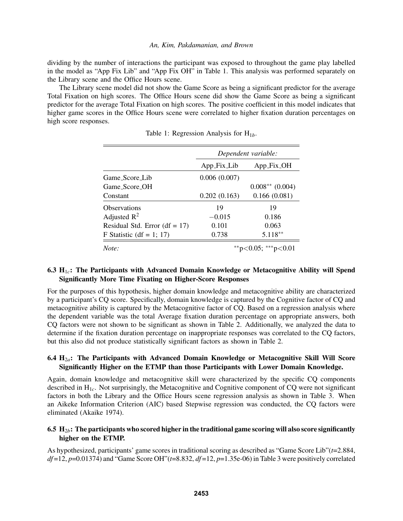dividing by the number of interactions the participant was exposed to throughout the game play labelled in the model as "App Fix Lib" and "App Fix OH" in Table 1. This analysis was performed separately on the Library scene and the Office Hours scene.

The Library scene model did not show the Game Score as being a significant predictor for the average Total Fixation on high scores. The Office Hours scene did show the Game Score as being a significant predictor for the average Total Fixation on high scores. The positive coefficient in this model indicates that higher game scores in the Office Hours scene were correlated to higher fixation duration percentages on high score responses.

|                                 | Dependent variable: |                     |  |
|---------------------------------|---------------------|---------------------|--|
|                                 | App_Fix_Lib         | App_Fix_OH          |  |
| Game Score Lib                  | 0.006(0.007)        |                     |  |
| Game_Score_OH                   |                     | $0.008**$ (0.004)   |  |
| Constant                        | 0.202(0.163)        | 0.166(0.081)        |  |
| <b>Observations</b>             | 19                  | 19                  |  |
| Adjusted $R^2$                  | $-0.015$            | 0.186               |  |
| Residual Std. Error $(df = 17)$ | 0.101               | 0.063               |  |
| F Statistic (df = 1; 17)        | 0.738               | 5.118**             |  |
| Note:                           |                     | **p<0.05; ***p<0.01 |  |

Table 1: Regression Analysis for H<sub>1b</sub>.

# 6.3 H1*c*: The Participants with Advanced Domain Knowledge or Metacognitive Ability will Spend Significantly More Time Fixating on Higher-Score Responses

For the purposes of this hypothesis, higher domain knowledge and metacognitive ability are characterized by a participant's CQ score. Specifically, domain knowledge is captured by the Cognitive factor of CQ and metacognitive ability is captured by the Metacognitive factor of CQ. Based on a regression analysis where the dependent variable was the total Average fixation duration percentage on appropriate answers, both CQ factors were not shown to be significant as shown in Table 2. Additionally, we analyzed the data to determine if the fixation duration percentage on inappropriate responses was correlated to the CQ factors, but this also did not produce statistically significant factors as shown in Table 2.

# 6.4 H<sub>2a</sub>: The Participants with Advanced Domain Knowledge or Metacognitive Skill Will Score Significantly Higher on the ETMP than those Participants with Lower Domain Knowledge.

Again, domain knowledge and metacognitive skill were characterized by the specific CQ components described in H<sub>1c</sub>. Not surprisingly, the Metacognitive and Cognitive component of CQ were not significant factors in both the Library and the Office Hours scene regression analysis as shown in Table 3. When an Aikeke Information Criterion (AIC) based Stepwise regression was conducted, the CQ factors were eliminated (Akaike 1974).

# 6.5 H<sub>2b</sub>: The participants who scored higher in the traditional game scoring will also score significantly higher on the ETMP.

As hypothesized, participants' game scores in traditional scoring as described as "Game Score Lib"(*t*=2.884, *df* =12, *p*=0.01374) and "Game Score OH"(*t*=8.832, *df* =12, *p*=1.35e-06) in Table 3 were positively correlated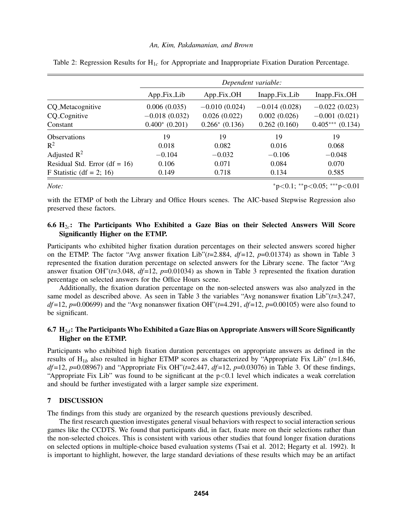|                                 | Dependent variable: |                    |                 |                   |
|---------------------------------|---------------------|--------------------|-----------------|-------------------|
|                                 | $App\_Fix\_Lib$     | App_Fix_OH         | Inapp_Fix_Lib   | Inapp_Fix_OH      |
| CQ_Metacognitive                | 0.006(0.035)        | $-0.010(0.024)$    | $-0.014(0.028)$ | $-0.022(0.023)$   |
| CQ_Cognitive                    | $-0.018(0.032)$     | 0.026(0.022)       | 0.002(0.026)    | $-0.001(0.021)$   |
| Constant                        | $0.400^*$ (0.201)   | $0.266*$ $(0.136)$ | 0.262(0.160)    | $0.405***(0.134)$ |
| <b>Observations</b>             | 19                  | 19                 | 19              | 19                |
| $R^2$                           | 0.018               | 0.082              | 0.016           | 0.068             |
| Adjusted $\mathbb{R}^2$         | $-0.104$            | $-0.032$           | $-0.106$        | $-0.048$          |
| Residual Std. Error $(df = 16)$ | 0.106               | 0.071              | 0.084           | 0.070             |
| F Statistic (df = 2; 16)        | 0.149               | 0.718              | 0.134           | 0.585             |

Table 2: Regression Results for H1*<sup>c</sup>* for Appropriate and Inappropriate Fixation Duration Percentage.

# *Note:*  $*_{p<0.1}$ ;  $*_{p<0.05}$ ;  $*_{p<0.01}$

with the ETMP of both the Library and Office Hours scenes. The AIC-based Stepwise Regression also preserved these factors.

# 6.6 H2*c*: The Participants Who Exhibited a Gaze Bias on their Selected Answers Will Score Significantly Higher on the ETMP.

Participants who exhibited higher fixation duration percentages on their selected answers scored higher on the ETMP. The factor "Avg answer fixation Lib" $(t=2.884, df=12, p=0.01374)$  as shown in Table 3 represented the fixation duration percentage on selected answers for the Library scene. The factor "Avg answer fixation OH"(*t*=3.048, *df* =12, *p*=0.01034) as shown in Table 3 represented the fixation duration percentage on selected answers for the Office Hours scene.

Additionally, the fixation duration percentage on the non-selected answers was also analyzed in the same model as described above. As seen in Table 3 the variables "Avg nonanswer fixation Lib"(*t*=3.247, *df*=12, *p*=0.00699) and the "Avg nonanswer fixation OH"( $t=4.291$ ,  $df=12$ ,  $p=0.00105$ ) were also found to be significant.

# 6.7 H2*d*: The Participants Who Exhibited a Gaze Bias on Appropriate Answers will Score Significantly Higher on the ETMP.

Participants who exhibited high fixation duration percentages on appropriate answers as defined in the results of  $H_{1b}$  also resulted in higher ETMP scores as characterized by "Appropriate Fix Lib" ( $t=1.846$ , *df* =12, *p*=0.08967) and "Appropriate Fix OH"(*t*=2.447, *df* =12, *p*=0.03076) in Table 3. Of these findings, "Appropriate Fix Lib" was found to be significant at the  $p<0.1$  level which indicates a weak correlation and should be further investigated with a larger sample size experiment.

#### 7 DISCUSSION

The findings from this study are organized by the research questions previously described.

The first research question investigates general visual behaviors with respect to social interaction serious games like the CCDTS. We found that participants did, in fact, fixate more on their selections rather than the non-selected choices. This is consistent with various other studies that found longer fixation durations on selected options in multiple-choice based evaluation systems (Tsai et al. 2012; Hegarty et al. 1992). It is important to highlight, however, the large standard deviations of these results which may be an artifact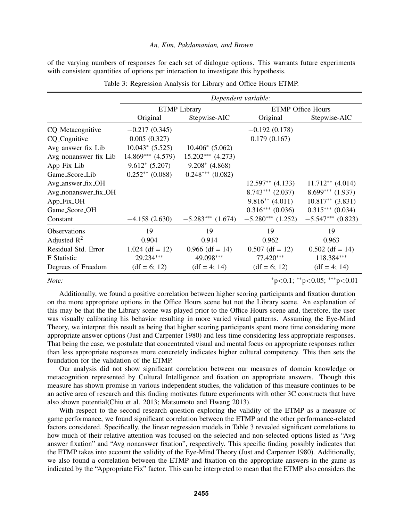of the varying numbers of responses for each set of dialogue options. This warrants future experiments with consistent quantities of options per interaction to investigate this hypothesis.

|                         | Dependent variable:   |                      |                          |                      |
|-------------------------|-----------------------|----------------------|--------------------------|----------------------|
|                         | <b>ETMP</b> Library   |                      | <b>ETMP Office Hours</b> |                      |
|                         | Original              | Stepwise-AIC         | Original                 | Stepwise-AIC         |
| CQ_Metacognitive        | $-0.217(0.345)$       |                      | $-0.192(0.178)$          |                      |
| CQ_Cognitive            | 0.005(0.327)          |                      | 0.179(0.167)             |                      |
| Avg_answer_fix_Lib      | $10.043*$ (5.525)     | $10.406*$ (5.062)    |                          |                      |
| Avg_nonanswer_fix_Lib   | $14.869***$ $(4.579)$ | $15.202***$ (4.273)  |                          |                      |
| App_Fix_Lib             | $9.612*(5.207)$       | $9.208*$ (4.868)     |                          |                      |
| Game_Score_Lib          | $0.252**$ (0.088)     | $0.248***$ $(0.082)$ |                          |                      |
| Avg_answer_fix_OH       |                       |                      | $12.597**$ (4.133)       | $11.712**$ (4.014)   |
| Avg_nonanswer_fix_OH    |                       |                      | $8.743***$ (2.037)       | $8.699***$ (1.937)   |
| $App\_Fix\_OH$          |                       |                      | $9.816**$ (4.011)        | $10.817**$ (3.831)   |
| Game_Score_OH           |                       |                      | $0.316***(0.036)$        | $0.315***$ $(0.034)$ |
| Constant                | $-4.158(2.630)$       | $-5.283***$ (1.674)  | $-5.280***$ (1.252)      | $-5.547***$ (0.823)  |
| <b>Observations</b>     | 19                    | 19                   | 19                       | 19                   |
| Adjusted $\mathbb{R}^2$ | 0.904                 | 0.914                | 0.962                    | 0.963                |
| Residual Std. Error     | $1.024$ (df = 12)     | $0.966$ (df = 14)    | $0.507$ (df = 12)        | $0.502$ (df = 14)    |
| <b>F</b> Statistic      | 29.234***             | 49.098***            | $77.420***$              | 118.384***           |
| Degrees of Freedom      | $(df = 6; 12)$        | $(df = 4; 14)$       | $(df = 6; 12)$           | $(df = 4; 14)$       |

|  |  | Table 3: Regression Analysis for Library and Office Hours ETMP. |
|--|--|-----------------------------------------------------------------|
|  |  |                                                                 |

*Note:*  $*_{p} < 0.1; *_{p} < 0.05; *^{*}_{p} < 0.01$ 

Additionally, we found a positive correlation between higher scoring participants and fixation duration on the more appropriate options in the Office Hours scene but not the Library scene. An explanation of this may be that the the Library scene was played prior to the Office Hours scene and, therefore, the user was visually calibrating his behavior resulting in more varied visual patterns. Assuming the Eye-Mind Theory, we interpret this result as being that higher scoring participants spent more time considering more appropriate answer options (Just and Carpenter 1980) and less time considering less appropriate responses. That being the case, we postulate that concentrated visual and mental focus on appropriate responses rather than less appropriate responses more concretely indicates higher cultural competency. This then sets the foundation for the validation of the ETMP.

Our analysis did not show significant correlation between our measures of domain knowledge or metacognition represented by Cultural Intelligence and fixation on appropriate answers. Though this measure has shown promise in various independent studies, the validation of this measure continues to be an active area of research and this finding motivates future experiments with other 3C constructs that have also shown potential(Chiu et al. 2013; Matsumoto and Hwang 2013).

With respect to the second research question exploring the validity of the ETMP as a measure of game performance, we found significant correlation between the ETMP and the other performance-related factors considered. Specifically, the linear regression models in Table 3 revealed significant correlations to how much of their relative attention was focused on the selected and non-selected options listed as "Avg answer fixation" and "Avg nonanswer fixation", respectively. This specific finding possibly indicates that the ETMP takes into account the validity of the Eye-Mind Theory (Just and Carpenter 1980). Additionally, we also found a correlation between the ETMP and fixation on the appropriate answers in the game as indicated by the "Appropriate Fix" factor. This can be interpreted to mean that the ETMP also considers the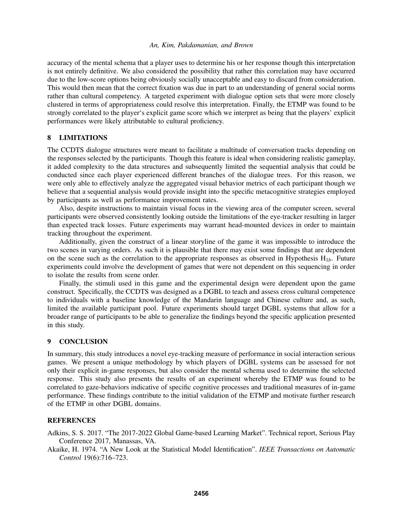accuracy of the mental schema that a player uses to determine his or her response though this interpretation is not entirely definitive. We also considered the possibility that rather this correlation may have occurred due to the low-score options being obviously socially unacceptable and easy to discard from consideration. This would then mean that the correct fixation was due in part to an understanding of general social norms rather than cultural competency. A targeted experiment with dialogue option sets that were more closely clustered in terms of appropriateness could resolve this interpretation. Finally, the ETMP was found to be strongly correlated to the player's explicit game score which we interpret as being that the players' explicit performances were likely attributable to cultural proficiency.

# 8 LIMITATIONS

The CCDTS dialogue structures were meant to facilitate a multitude of conversation tracks depending on the responses selected by the participants. Though this feature is ideal when considering realistic gameplay, it added complexity to the data structures and subsequently limited the sequential analysis that could be conducted since each player experienced different branches of the dialogue trees. For this reason, we were only able to effectively analyze the aggregated visual behavior metrics of each participant though we believe that a sequential analysis would provide insight into the specific metacognitive strategies employed by participants as well as performance improvement rates.

Also, despite instructions to maintain visual focus in the viewing area of the computer screen, several participants were observed consistently looking outside the limitations of the eye-tracker resulting in larger than expected track losses. Future experiments may warrant head-mounted devices in order to maintain tracking throughout the experiment.

Additionally, given the construct of a linear storyline of the game it was impossible to introduce the two scenes in varying orders. As such it is plausible that there may exist some findings that are dependent on the scene such as the correlation to the appropriate responses as observed in Hypothesis  $H_{1b}$ . Future experiments could involve the development of games that were not dependent on this sequencing in order to isolate the results from scene order.

Finally, the stimuli used in this game and the experimental design were dependent upon the game construct. Specifically, the CCDTS was designed as a DGBL to teach and assess cross cultural competence to individuals with a baseline knowledge of the Mandarin language and Chinese culture and, as such, limited the available participant pool. Future experiments should target DGBL systems that allow for a broader range of participants to be able to generalize the findings beyond the specific application presented in this study.

#### 9 CONCLUSION

In summary, this study introduces a novel eye-tracking measure of performance in social interaction serious games. We present a unique methodology by which players of DGBL systems can be assessed for not only their explicit in-game responses, but also consider the mental schema used to determine the selected response. This study also presents the results of an experiment whereby the ETMP was found to be correlated to gaze-behaviors indicative of specific cognitive processes and traditional measures of in-game performance. These findings contribute to the initial validation of the ETMP and motivate further research of the ETMP in other DGBL domains.

#### **REFERENCES**

Adkins, S. S. 2017. "The 2017-2022 Global Game-based Learning Market". Technical report, Serious Play Conference 2017, Manassas, VA.

Akaike, H. 1974. "A New Look at the Statistical Model Identification". *IEEE Transactions on Automatic Control* 19(6):716–723.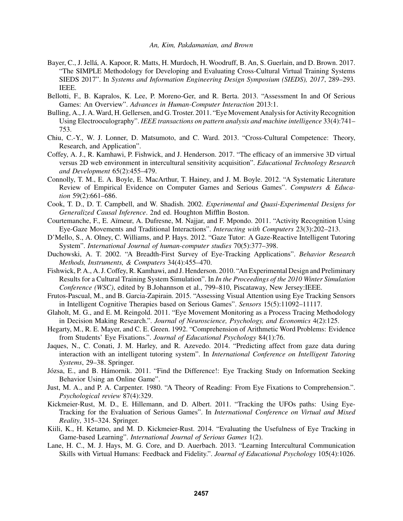- Bayer, C., J. Jellá, A. Kapoor, R. Matts, H. Murdoch, H. Woodruff, B. An, S. Guerlain, and D. Brown. 2017. "The SIMPLE Methodology for Developing and Evaluating Cross-Cultural Virtual Training Systems SIEDS 2017". In *Systems and Information Engineering Design Symposium (SIEDS), 2017*, 289–293. IEEE.
- Bellotti, F., B. Kapralos, K. Lee, P. Moreno-Ger, and R. Berta. 2013. "Assessment In and Of Serious Games: An Overview". *Advances in Human-Computer Interaction* 2013:1.
- Bulling, A., J. A.Ward, H. Gellersen, and G. Troster. 2011. "Eye Movement Analysis for Activity Recognition Using Electrooculography". *IEEE transactions on pattern analysis and machine intelligence* 33(4):741– 753.
- Chiu, C.-Y., W. J. Lonner, D. Matsumoto, and C. Ward. 2013. "Cross-Cultural Competence: Theory, Research, and Application".
- Coffey, A. J., R. Kamhawi, P. Fishwick, and J. Henderson. 2017. "The efficacy of an immersive 3D virtual versus 2D web environment in intercultural sensitivity acquisition". *Educational Technology Research and Development* 65(2):455–479.
- Connolly, T. M., E. A. Boyle, E. MacArthur, T. Hainey, and J. M. Boyle. 2012. "A Systematic Literature Review of Empirical Evidence on Computer Games and Serious Games". *Computers & Education* 59(2):661–686.
- Cook, T. D., D. T. Campbell, and W. Shadish. 2002. *Experimental and Quasi-Experimental Designs for Generalized Causal Inference*. 2nd ed. Houghton Mifflin Boston.
- Courtemanche, F., E. Aïmeur, A. Dufresne, M. Najjar, and F. Mpondo. 2011. "Activity Recognition Using Eye-Gaze Movements and Traditional Interactions". *Interacting with Computers* 23(3):202–213.
- D'Mello, S., A. Olney, C. Williams, and P. Hays. 2012. "Gaze Tutor: A Gaze-Reactive Intelligent Tutoring System". *International Journal of human-computer studies* 70(5):377–398.
- Duchowski, A. T. 2002. "A Breadth-First Survey of Eye-Tracking Applications". *Behavior Research Methods, Instruments, & Computers* 34(4):455–470.
- Fishwick, P. A., A. J. Coffey, R. Kamhawi, and J. Henderson. 2010. "An Experimental Design and Preliminary Results for a Cultural Training System Simulation". In *In the Proceedings of the 2010 Winter Simulation Conference (WSC)*, edited by B.Johannson et al., 799–810, Piscataway, New Jersey:IEEE.
- Frutos-Pascual, M., and B. Garcia-Zapirain. 2015. "Assessing Visual Attention using Eye Tracking Sensors in Intelligent Cognitive Therapies based on Serious Games". *Sensors* 15(5):11092–11117.
- Glaholt, M. G., and E. M. Reingold. 2011. "Eye Movement Monitoring as a Process Tracing Methodology in Decision Making Research.". *Journal of Neuroscience, Psychology, and Economics* 4(2):125.
- Hegarty, M., R. E. Mayer, and C. E. Green. 1992. "Comprehension of Arithmetic Word Problems: Evidence from Students' Eye Fixations.". *Journal of Educational Psychology* 84(1):76.
- Jaques, N., C. Conati, J. M. Harley, and R. Azevedo. 2014. "Predicting affect from gaze data during interaction with an intelligent tutoring system". In *International Conference on Intelligent Tutoring Systems*, 29–38. Springer.
- Józsa, E., and B. Hámornik. 2011. "Find the Difference!: Eye Tracking Study on Information Seeking Behavior Using an Online Game".
- Just, M. A., and P. A. Carpenter. 1980. "A Theory of Reading: From Eye Fixations to Comprehension.". *Psychological review* 87(4):329.
- Kickmeier-Rust, M. D., E. Hillemann, and D. Albert. 2011. "Tracking the UFOs paths: Using Eye-Tracking for the Evaluation of Serious Games". In *International Conference on Virtual and Mixed Reality*, 315–324. Springer.
- Kiili, K., H. Ketamo, and M. D. Kickmeier-Rust. 2014. "Evaluating the Usefulness of Eye Tracking in Game-based Learning". *International Journal of Serious Games* 1(2).
- Lane, H. C., M. J. Hays, M. G. Core, and D. Auerbach. 2013. "Learning Intercultural Communication Skills with Virtual Humans: Feedback and Fidelity.". *Journal of Educational Psychology* 105(4):1026.